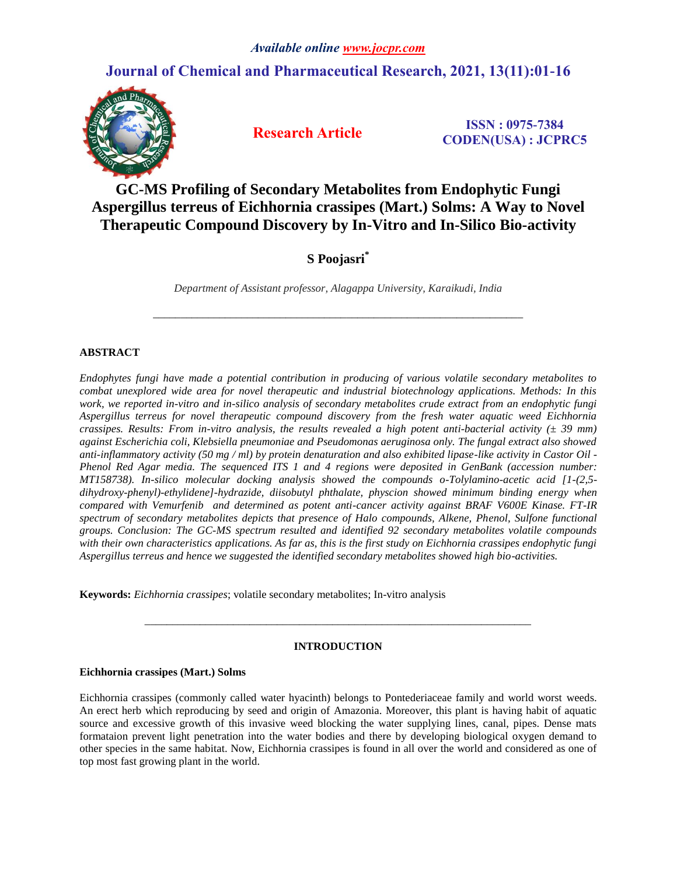# **Journal of Chemical and Pharmaceutical Research, 2021, 13(11):01-16**



 **Research Article ISSN : 0975-7384 CODEN(USA) : JCPRC5**

# **GC-MS Profiling of Secondary Metabolites from Endophytic Fungi Aspergillus terreus of Eichhornia crassipes (Mart.) Solms: A Way to Novel Therapeutic Compound Discovery by In-Vitro and In-Silico Bio-activity**

# **S Poojasri\***

*Department of Assistant professor, Alagappa University, Karaikudi, India* 

*\_\_\_\_\_\_\_\_\_\_\_\_\_\_\_\_\_\_\_\_\_\_\_\_\_\_\_\_\_\_\_\_\_\_\_\_\_\_\_\_\_\_\_\_\_\_\_\_\_\_\_\_\_\_\_\_\_\_\_\_\_\_\_\_\_\_\_*

# **ABSTRACT**

*Endophytes fungi have made a potential contribution in producing of various volatile secondary metabolites to combat unexplored wide area for novel therapeutic and industrial biotechnology applications. Methods: In this work, we reported in-vitro and in-silico analysis of secondary metabolites crude extract from an endophytic fungi Aspergillus terreus for novel therapeutic compound discovery from the fresh water aquatic weed Eichhornia crassipes. Results: From in-vitro analysis, the results revealed a high potent anti-bacterial activity (± 39 mm) against Escherichia coli, Klebsiella pneumoniae and Pseudomonas aeruginosa only. The fungal extract also showed anti-inflammatory activity (50 mg / ml) by protein denaturation and also exhibited lipase-like activity in Castor Oil - Phenol Red Agar media. The sequenced ITS 1 and 4 regions were deposited in GenBank (accession number: MT158738). In-silico molecular docking analysis showed the compounds o-Tolylamino-acetic acid [1-(2,5 dihydroxy-phenyl)-ethylidene]-hydrazide, diisobutyl phthalate, physcion showed minimum binding energy when compared with Vemurfenib and determined as potent anti-cancer activity against BRAF V600E Kinase. FT-IR spectrum of secondary metabolites depicts that presence of Halo compounds, Alkene, Phenol, Sulfone functional groups. Conclusion: The GC-MS spectrum resulted and identified 92 secondary metabolites volatile compounds with their own characteristics applications. As far as, this is the first study on Eichhornia crassipes endophytic fungi Aspergillus terreus and hence we suggested the identified secondary metabolites showed high bio-activities.*

**Keywords:** *Eichhornia crassipes*; volatile secondary metabolites; In-vitro analysis

# **INTRODUCTION**

*\_\_\_\_\_\_\_\_\_\_\_\_\_\_\_\_\_\_\_\_\_\_\_\_\_\_\_\_\_\_\_\_\_\_\_\_\_\_\_\_\_\_\_\_\_\_\_\_\_\_\_\_\_\_\_\_\_\_\_\_\_\_\_\_\_\_\_\_\_\_*

# **Eichhornia crassipes (Mart.) Solms**

Eichhornia crassipes (commonly called water hyacinth) belongs to Pontederiaceae family and world worst weeds. An erect herb which reproducing by seed and origin of Amazonia. Moreover, this plant is having habit of aquatic source and excessive growth of this invasive weed blocking the water supplying lines, canal, pipes. Dense mats formataion prevent light penetration into the water bodies and there by developing biological oxygen demand to other species in the same habitat. Now, Eichhornia crassipes is found in all over the world and considered as one of top most fast growing plant in the world.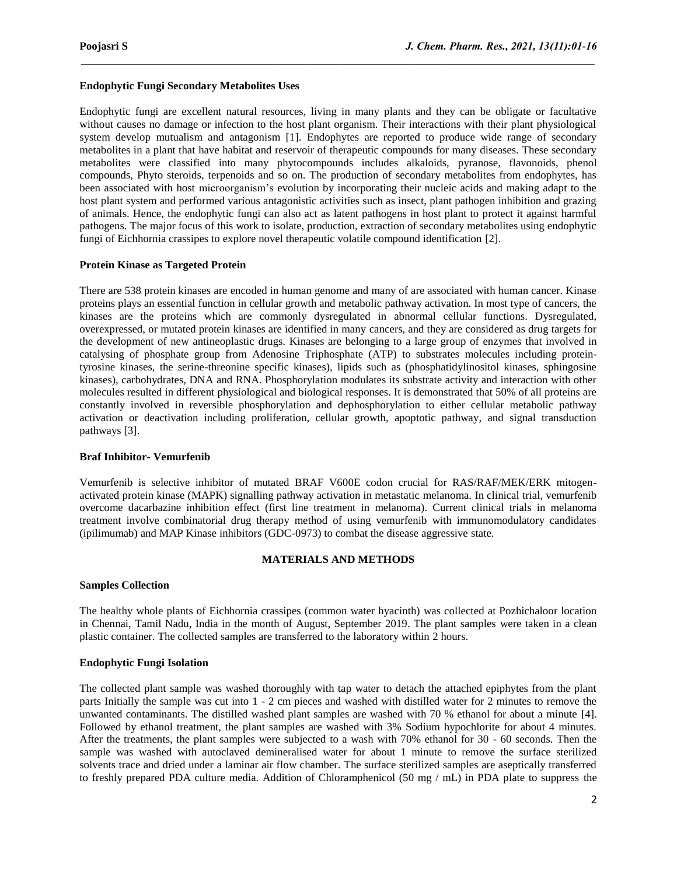# **Endophytic Fungi Secondary Metabolites Uses**

Endophytic fungi are excellent natural resources, living in many plants and they can be obligate or facultative without causes no damage or infection to the host plant organism. Their interactions with their plant physiological system develop mutualism and antagonism [1]. Endophytes are reported to produce wide range of secondary metabolites in a plant that have habitat and reservoir of therapeutic compounds for many diseases. These secondary metabolites were classified into many phytocompounds includes alkaloids, pyranose, flavonoids, phenol compounds, Phyto steroids, terpenoids and so on. The production of secondary metabolites from endophytes, has been associated with host microorganism's evolution by incorporating their nucleic acids and making adapt to the host plant system and performed various antagonistic activities such as insect, plant pathogen inhibition and grazing of animals. Hence, the endophytic fungi can also act as latent pathogens in host plant to protect it against harmful pathogens. The major focus of this work to isolate, production, extraction of secondary metabolites using endophytic fungi of Eichhornia crassipes to explore novel therapeutic volatile compound identification [2].

 $\mathcal{L}_\mathcal{L} = \mathcal{L}_\mathcal{L}$ 

# **Protein Kinase as Targeted Protein**

There are 538 protein kinases are encoded in human genome and many of are associated with human cancer. Kinase proteins plays an essential function in cellular growth and metabolic pathway activation. In most type of cancers, the kinases are the proteins which are commonly dysregulated in abnormal cellular functions. Dysregulated, overexpressed, or mutated protein kinases are identified in many cancers, and they are considered as drug targets for the development of new antineoplastic drugs. Kinases are belonging to a large group of enzymes that involved in catalysing of phosphate group from Adenosine Triphosphate (ATP) to substrates molecules including proteintyrosine kinases, the serine-threonine specific kinases), lipids such as (phosphatidylinositol kinases, sphingosine kinases), carbohydrates, DNA and RNA. Phosphorylation modulates its substrate activity and interaction with other molecules resulted in different physiological and biological responses. It is demonstrated that 50% of all proteins are constantly involved in reversible phosphorylation and dephosphorylation to either cellular metabolic pathway activation or deactivation including proliferation, cellular growth, apoptotic pathway, and signal transduction pathways [3].

#### **Braf Inhibitor- Vemurfenib**

Vemurfenib is selective inhibitor of mutated BRAF V600E codon crucial for RAS/RAF/MEK/ERK mitogenactivated protein kinase (MAPK) signalling pathway activation in metastatic melanoma. In clinical trial, vemurfenib overcome dacarbazine inhibition effect (first line treatment in melanoma). Current clinical trials in melanoma treatment involve combinatorial drug therapy method of using vemurfenib with immunomodulatory candidates (ipilimumab) and MAP Kinase inhibitors (GDC-0973) to combat the disease aggressive state.

#### **MATERIALS AND METHODS**

#### **Samples Collection**

The healthy whole plants of Eichhornia crassipes (common water hyacinth) was collected at Pozhichaloor location in Chennai, Tamil Nadu, India in the month of August, September 2019. The plant samples were taken in a clean plastic container. The collected samples are transferred to the laboratory within 2 hours.

# **Endophytic Fungi Isolation**

The collected plant sample was washed thoroughly with tap water to detach the attached epiphytes from the plant parts Initially the sample was cut into 1 - 2 cm pieces and washed with distilled water for 2 minutes to remove the unwanted contaminants. The distilled washed plant samples are washed with 70 % ethanol for about a minute [4]. Followed by ethanol treatment, the plant samples are washed with 3% Sodium hypochlorite for about 4 minutes. After the treatments, the plant samples were subjected to a wash with 70% ethanol for 30 - 60 seconds. Then the sample was washed with autoclaved demineralised water for about 1 minute to remove the surface sterilized solvents trace and dried under a laminar air flow chamber. The surface sterilized samples are aseptically transferred to freshly prepared PDA culture media. Addition of Chloramphenicol (50 mg / mL) in PDA plate to suppress the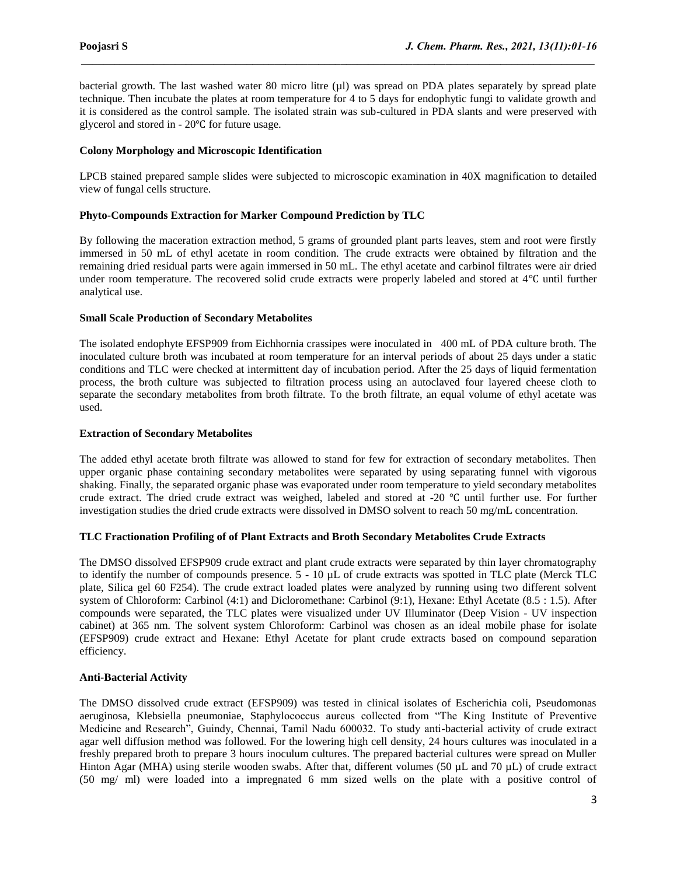bacterial growth. The last washed water 80 micro litre (µl) was spread on PDA plates separately by spread plate technique. Then incubate the plates at room temperature for 4 to 5 days for endophytic fungi to validate growth and it is considered as the control sample. The isolated strain was sub-cultured in PDA slants and were preserved with glycerol and stored in - 20℃ for future usage.

 $\mathcal{L}_\mathcal{L} = \mathcal{L}_\mathcal{L}$ 

# **Colony Morphology and Microscopic Identification**

LPCB stained prepared sample slides were subjected to microscopic examination in 40X magnification to detailed view of fungal cells structure.

# **Phyto-Compounds Extraction for Marker Compound Prediction by TLC**

By following the maceration extraction method, 5 grams of grounded plant parts leaves, stem and root were firstly immersed in 50 mL of ethyl acetate in room condition. The crude extracts were obtained by filtration and the remaining dried residual parts were again immersed in 50 mL. The ethyl acetate and carbinol filtrates were air dried under room temperature. The recovered solid crude extracts were properly labeled and stored at 4℃ until further analytical use.

# **Small Scale Production of Secondary Metabolites**

The isolated endophyte EFSP909 from Eichhornia crassipes were inoculated in 400 mL of PDA culture broth. The inoculated culture broth was incubated at room temperature for an interval periods of about 25 days under a static conditions and TLC were checked at intermittent day of incubation period. After the 25 days of liquid fermentation process, the broth culture was subjected to filtration process using an autoclaved four layered cheese cloth to separate the secondary metabolites from broth filtrate. To the broth filtrate, an equal volume of ethyl acetate was used.

# **Extraction of Secondary Metabolites**

The added ethyl acetate broth filtrate was allowed to stand for few for extraction of secondary metabolites. Then upper organic phase containing secondary metabolites were separated by using separating funnel with vigorous shaking. Finally, the separated organic phase was evaporated under room temperature to yield secondary metabolites crude extract. The dried crude extract was weighed, labeled and stored at -20 ℃ until further use. For further investigation studies the dried crude extracts were dissolved in DMSO solvent to reach 50 mg/mL concentration.

# **TLC Fractionation Profiling of of Plant Extracts and Broth Secondary Metabolites Crude Extracts**

The DMSO dissolved EFSP909 crude extract and plant crude extracts were separated by thin layer chromatography to identify the number of compounds presence. 5 - 10 µL of crude extracts was spotted in TLC plate (Merck TLC plate, Silica gel 60 F254). The crude extract loaded plates were analyzed by running using two different solvent system of Chloroform: Carbinol (4:1) and Dicloromethane: Carbinol (9:1), Hexane: Ethyl Acetate (8.5 : 1.5). After compounds were separated, the TLC plates were visualized under UV Illuminator (Deep Vision - UV inspection cabinet) at 365 nm. The solvent system Chloroform: Carbinol was chosen as an ideal mobile phase for isolate (EFSP909) crude extract and Hexane: Ethyl Acetate for plant crude extracts based on compound separation efficiency.

# **Anti-Bacterial Activity**

The DMSO dissolved crude extract (EFSP909) was tested in clinical isolates of Escherichia coli, Pseudomonas aeruginosa, Klebsiella pneumoniae, Staphylococcus aureus collected from "The King Institute of Preventive Medicine and Research", Guindy, Chennai, Tamil Nadu 600032. To study anti-bacterial activity of crude extract agar well diffusion method was followed. For the lowering high cell density, 24 hours cultures was inoculated in a freshly prepared broth to prepare 3 hours inoculum cultures. The prepared bacterial cultures were spread on Muller Hinton Agar (MHA) using sterile wooden swabs. After that, different volumes (50 µL and 70 µL) of crude extract (50 mg/ ml) were loaded into a impregnated 6 mm sized wells on the plate with a positive control of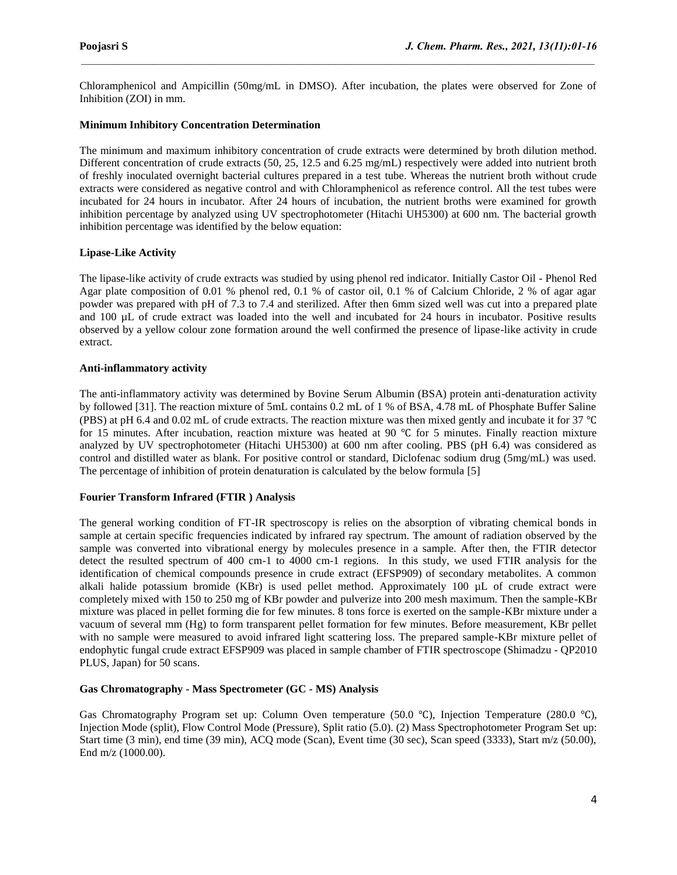Chloramphenicol and Ampicillin (50mg/mL in DMSO). After incubation, the plates were observed for Zone of Inhibition (ZOI) in mm.

 $\mathcal{L}_\mathcal{L} = \mathcal{L}_\mathcal{L}$ 

# **Minimum Inhibitory Concentration Determination**

The minimum and maximum inhibitory concentration of crude extracts were determined by broth dilution method. Different concentration of crude extracts (50, 25, 12.5 and 6.25 mg/mL) respectively were added into nutrient broth of freshly inoculated overnight bacterial cultures prepared in a test tube. Whereas the nutrient broth without crude extracts were considered as negative control and with Chloramphenicol as reference control. All the test tubes were incubated for 24 hours in incubator. After 24 hours of incubation, the nutrient broths were examined for growth inhibition percentage by analyzed using UV spectrophotometer (Hitachi UH5300) at 600 nm. The bacterial growth inhibition percentage was identified by the below equation:

# **Lipase-Like Activity**

The lipase-like activity of crude extracts was studied by using phenol red indicator. Initially Castor Oil - Phenol Red Agar plate composition of 0.01 % phenol red, 0.1 % of castor oil, 0.1 % of Calcium Chloride, 2 % of agar agar powder was prepared with pH of 7.3 to 7.4 and sterilized. After then 6mm sized well was cut into a prepared plate and 100 µL of crude extract was loaded into the well and incubated for 24 hours in incubator. Positive results observed by a yellow colour zone formation around the well confirmed the presence of lipase-like activity in crude extract.

# **Anti-inflammatory activity**

The anti-inflammatory activity was determined by Bovine Serum Albumin (BSA) protein anti-denaturation activity by followed [31]. The reaction mixture of 5mL contains 0.2 mL of 1 % of BSA, 4.78 mL of Phosphate Buffer Saline (PBS) at pH 6.4 and 0.02 mL of crude extracts. The reaction mixture was then mixed gently and incubate it for 37 ℃ for 15 minutes. After incubation, reaction mixture was heated at 90 ℃ for 5 minutes. Finally reaction mixture analyzed by UV spectrophotometer (Hitachi UH5300) at 600 nm after cooling. PBS (pH 6.4) was considered as control and distilled water as blank. For positive control or standard, Diclofenac sodium drug (5mg/mL) was used. The percentage of inhibition of protein denaturation is calculated by the below formula [5]

#### **Fourier Transform Infrared (FTIR ) Analysis**

The general working condition of FT-IR spectroscopy is relies on the absorption of vibrating chemical bonds in sample at certain specific frequencies indicated by infrared ray spectrum. The amount of radiation observed by the sample was converted into vibrational energy by molecules presence in a sample. After then, the FTIR detector detect the resulted spectrum of 400 cm-1 to 4000 cm-1 regions. In this study, we used FTIR analysis for the identification of chemical compounds presence in crude extract (EFSP909) of secondary metabolites. A common alkali halide potassium bromide (KBr) is used pellet method. Approximately 100 µL of crude extract were completely mixed with 150 to 250 mg of KBr powder and pulverize into 200 mesh maximum. Then the sample-KBr mixture was placed in pellet forming die for few minutes. 8 tons force is exerted on the sample-KBr mixture under a vacuum of several mm (Hg) to form transparent pellet formation for few minutes. Before measurement, KBr pellet with no sample were measured to avoid infrared light scattering loss. The prepared sample-KBr mixture pellet of endophytic fungal crude extract EFSP909 was placed in sample chamber of FTIR spectroscope (Shimadzu - QP2010 PLUS, Japan) for 50 scans.

# **Gas Chromatography - Mass Spectrometer (GC - MS) Analysis**

Gas Chromatography Program set up: Column Oven temperature (50.0 ℃), Injection Temperature (280.0 ℃), Injection Mode (split), Flow Control Mode (Pressure), Split ratio (5.0). (2) Mass Spectrophotometer Program Set up: Start time (3 min), end time (39 min), ACQ mode (Scan), Event time (30 sec), Scan speed (3333), Start m/z (50.00), End m/z (1000.00).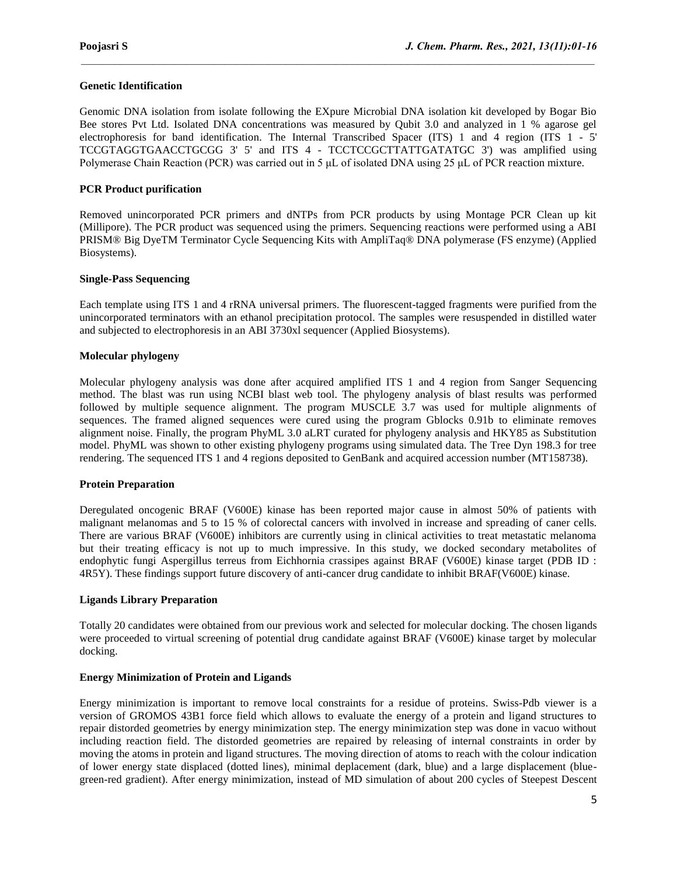# **Genetic Identification**

Genomic DNA isolation from isolate following the EXpure Microbial DNA isolation kit developed by Bogar Bio Bee stores Pvt Ltd. Isolated DNA concentrations was measured by Qubit 3.0 and analyzed in 1 % agarose gel electrophoresis for band identification. The Internal Transcribed Spacer (ITS) 1 and 4 region (ITS 1 - 5' TCCGTAGGTGAACCTGCGG 3' 5' and ITS 4 - TCCTCCGCTTATTGATATGC 3') was amplified using Polymerase Chain Reaction (PCR) was carried out in 5 μL of isolated DNA using 25 μL of PCR reaction mixture.

 $\mathcal{L}_\mathcal{L} = \mathcal{L}_\mathcal{L}$ 

#### **PCR Product purification**

Removed unincorporated PCR primers and dNTPs from PCR products by using Montage PCR Clean up kit (Millipore). The PCR product was sequenced using the primers. Sequencing reactions were performed using a ABI PRISM® Big DyeTM Terminator Cycle Sequencing Kits with AmpliTaq® DNA polymerase (FS enzyme) (Applied Biosystems).

#### **Single-Pass Sequencing**

Each template using ITS 1 and 4 rRNA universal primers. The fluorescent-tagged fragments were purified from the unincorporated terminators with an ethanol precipitation protocol. The samples were resuspended in distilled water and subjected to electrophoresis in an ABI 3730xl sequencer (Applied Biosystems).

# **Molecular phylogeny**

Molecular phylogeny analysis was done after acquired amplified ITS 1 and 4 region from Sanger Sequencing method. The blast was run using NCBI blast web tool. The phylogeny analysis of blast results was performed followed by multiple sequence alignment. The program MUSCLE 3.7 was used for multiple alignments of sequences. The framed aligned sequences were cured using the program Gblocks 0.91b to eliminate removes alignment noise. Finally, the program PhyML 3.0 aLRT curated for phylogeny analysis and HKY85 as Substitution model. PhyML was shown to other existing phylogeny programs using simulated data. The Tree Dyn 198.3 for tree rendering. The sequenced ITS 1 and 4 regions deposited to GenBank and acquired accession number (MT158738).

#### **Protein Preparation**

Deregulated oncogenic BRAF (V600E) kinase has been reported major cause in almost 50% of patients with malignant melanomas and 5 to 15 % of colorectal cancers with involved in increase and spreading of caner cells. There are various BRAF (V600E) inhibitors are currently using in clinical activities to treat metastatic melanoma but their treating efficacy is not up to much impressive. In this study, we docked secondary metabolites of endophytic fungi Aspergillus terreus from Eichhornia crassipes against BRAF (V600E) kinase target (PDB ID : 4R5Y). These findings support future discovery of anti-cancer drug candidate to inhibit BRAF(V600E) kinase.

#### **Ligands Library Preparation**

Totally 20 candidates were obtained from our previous work and selected for molecular docking. The chosen ligands were proceeded to virtual screening of potential drug candidate against BRAF (V600E) kinase target by molecular docking.

#### **Energy Minimization of Protein and Ligands**

Energy minimization is important to remove local constraints for a residue of proteins. Swiss-Pdb viewer is a version of GROMOS 43B1 force field which allows to evaluate the energy of a protein and ligand structures to repair distorded geometries by energy minimization step. The energy minimization step was done in vacuo without including reaction field. The distorded geometries are repaired by releasing of internal constraints in order by moving the atoms in protein and ligand structures. The moving direction of atoms to reach with the colour indication of lower energy state displaced (dotted lines), minimal deplacement (dark, blue) and a large displacement (bluegreen-red gradient). After energy minimization, instead of MD simulation of about 200 cycles of Steepest Descent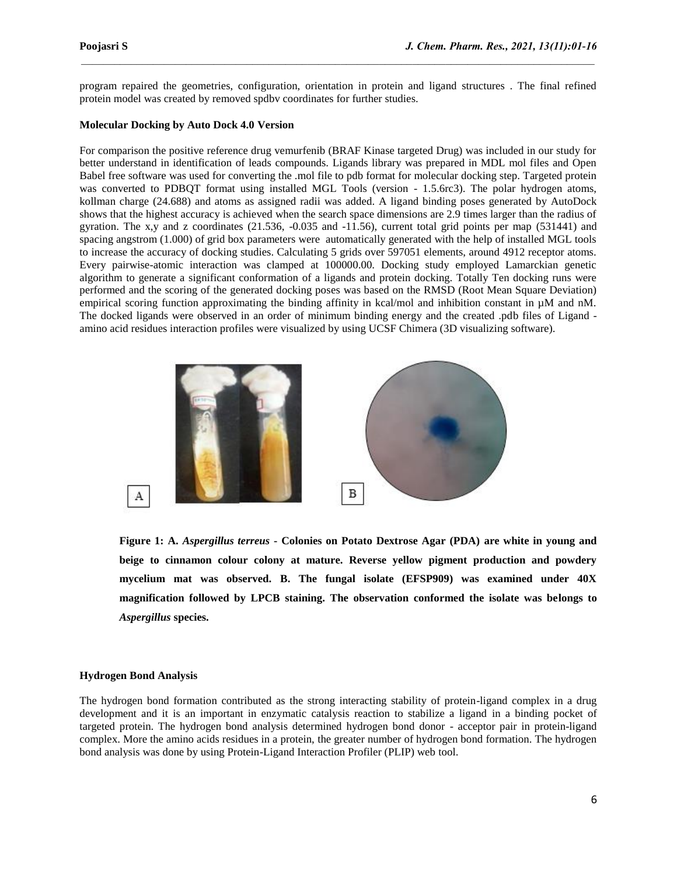program repaired the geometries, configuration, orientation in protein and ligand structures . The final refined protein model was created by removed spdbv coordinates for further studies.

 $\mathcal{L}_\mathcal{L} = \mathcal{L}_\mathcal{L}$ 

# **Molecular Docking by Auto Dock 4.0 Version**

For comparison the positive reference drug vemurfenib (BRAF Kinase targeted Drug) was included in our study for better understand in identification of leads compounds. Ligands library was prepared in MDL mol files and Open Babel free software was used for converting the .mol file to pdb format for molecular docking step. Targeted protein was converted to PDBQT format using installed MGL Tools (version - 1.5.6rc3). The polar hydrogen atoms, kollman charge (24.688) and atoms as assigned radii was added. A ligand binding poses generated by AutoDock shows that the highest accuracy is achieved when the search space dimensions are 2.9 times larger than the radius of gyration. The  $x,y$  and z coordinates (21.536, -0.035 and -11.56), current total grid points per map (531441) and spacing angstrom (1.000) of grid box parameters were automatically generated with the help of installed MGL tools to increase the accuracy of docking studies. Calculating 5 grids over 597051 elements, around 4912 receptor atoms. Every pairwise-atomic interaction was clamped at 100000.00. Docking study employed Lamarckian genetic algorithm to generate a significant conformation of a ligands and protein docking. Totally Ten docking runs were performed and the scoring of the generated docking poses was based on the RMSD (Root Mean Square Deviation) empirical scoring function approximating the binding affinity in kcal/mol and inhibition constant in  $\mu$ M and nM. The docked ligands were observed in an order of minimum binding energy and the created .pdb files of Ligand amino acid residues interaction profiles were visualized by using UCSF Chimera (3D visualizing software).



**Figure 1: A.** *Aspergillus terreus* **- Colonies on Potato Dextrose Agar (PDA) are white in young and beige to cinnamon colour colony at mature. Reverse yellow pigment production and powdery mycelium mat was observed. B. The fungal isolate (EFSP909) was examined under 40X magnification followed by LPCB staining. The observation conformed the isolate was belongs to**  *Aspergillus* **species.**

#### **Hydrogen Bond Analysis**

The hydrogen bond formation contributed as the strong interacting stability of protein-ligand complex in a drug development and it is an important in enzymatic catalysis reaction to stabilize a ligand in a binding pocket of targeted protein. The hydrogen bond analysis determined hydrogen bond donor - acceptor pair in protein-ligand complex. More the amino acids residues in a protein, the greater number of hydrogen bond formation. The hydrogen bond analysis was done by using Protein-Ligand Interaction Profiler (PLIP) web tool.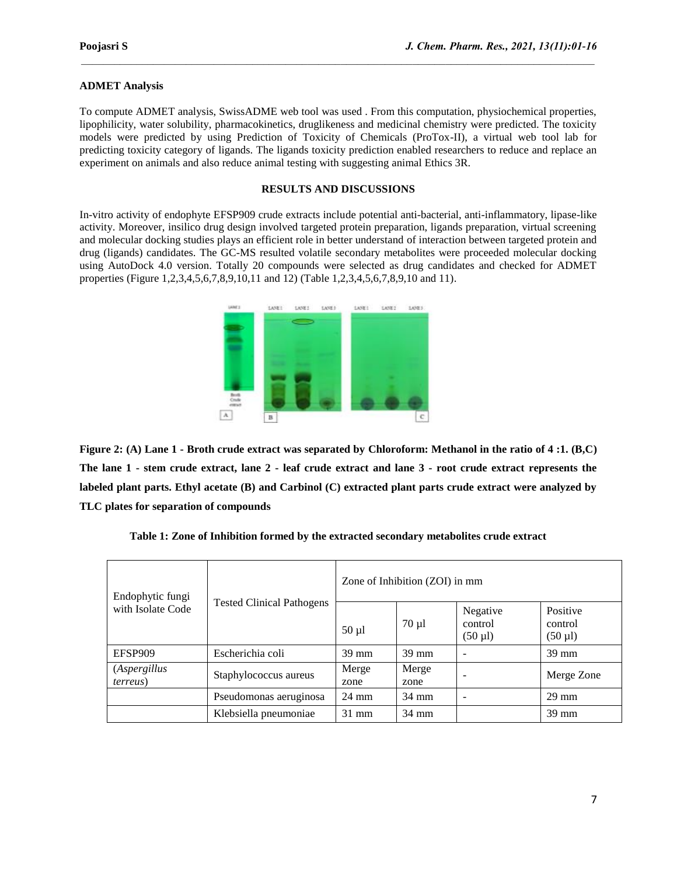# **ADMET Analysis**

To compute ADMET analysis, SwissADME web tool was used . From this computation, physiochemical properties, lipophilicity, water solubility, pharmacokinetics, druglikeness and medicinal chemistry were predicted. The toxicity models were predicted by using Prediction of Toxicity of Chemicals (ProTox-II), a virtual web tool lab for predicting toxicity category of ligands. The ligands toxicity prediction enabled researchers to reduce and replace an experiment on animals and also reduce animal testing with suggesting animal Ethics 3R.

 $\mathcal{L}_\mathcal{L} = \mathcal{L}_\mathcal{L}$ 

# **RESULTS AND DISCUSSIONS**

In-vitro activity of endophyte EFSP909 crude extracts include potential anti-bacterial, anti-inflammatory, lipase-like activity. Moreover, insilico drug design involved targeted protein preparation, ligands preparation, virtual screening and molecular docking studies plays an efficient role in better understand of interaction between targeted protein and drug (ligands) candidates. The GC-MS resulted volatile secondary metabolites were proceeded molecular docking using AutoDock 4.0 version. Totally 20 compounds were selected as drug candidates and checked for ADMET properties (Figure 1,2,3,4,5,6,7,8,9,10,11 and 12) (Table 1,2,3,4,5,6,7,8,9,10 and 11).



**Figure 2: (A) Lane 1 - Broth crude extract was separated by Chloroform: Methanol in the ratio of 4 :1. (B,C) The lane 1 - stem crude extract, lane 2 - leaf crude extract and lane 3 - root crude extract represents the labeled plant parts. Ethyl acetate (B) and Carbinol (C) extracted plant parts crude extract were analyzed by TLC plates for separation of compounds**

| Endophytic fungi<br>with Isolate Code | <b>Tested Clinical Pathogens</b> | Zone of Inhibition (ZOI) in mm |                 |                                     |                                     |  |
|---------------------------------------|----------------------------------|--------------------------------|-----------------|-------------------------------------|-------------------------------------|--|
|                                       |                                  | $50 \mu l$                     | $70 \mu l$      | Negative<br>control<br>$(50 \mu l)$ | Positive<br>control<br>$(50 \mu l)$ |  |
| EFSP909                               | Escherichia coli                 | 39 mm                          | $39 \text{ mm}$ |                                     | 39 mm                               |  |
| (Aspergillus<br><i>terreus</i> )      | Staphylococcus aureus            | Merge<br>zone                  | Merge<br>zone   |                                     | Merge Zone                          |  |
|                                       | Pseudomonas aeruginosa           | 24 mm                          | $34 \text{ mm}$ |                                     | $29 \text{ mm}$                     |  |
|                                       | Klebsiella pneumoniae            | $31 \text{ mm}$                | $34 \text{ mm}$ |                                     | $39 \text{ mm}$                     |  |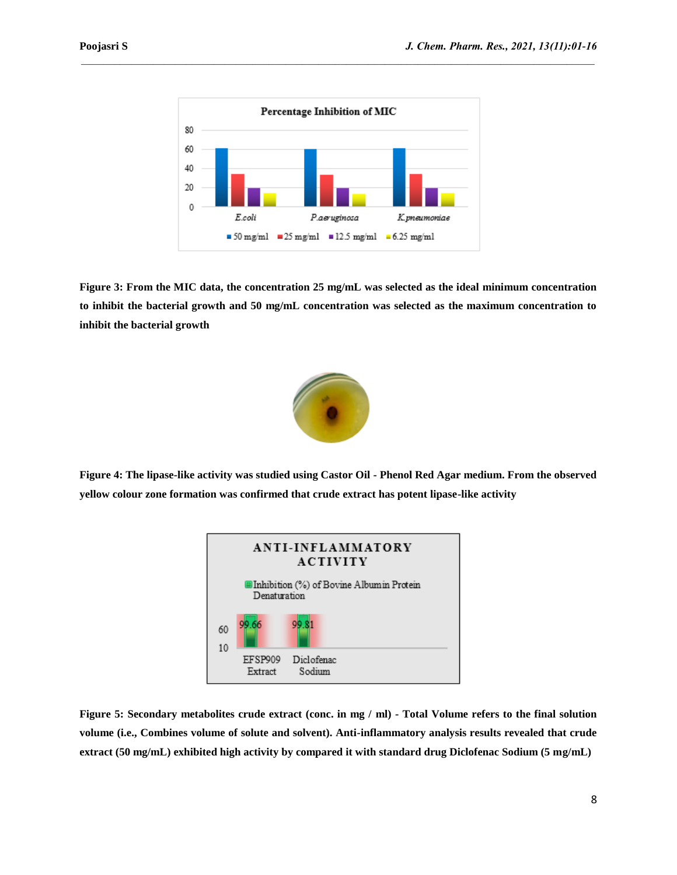

**Figure 3: From the MIC data, the concentration 25 mg/mL was selected as the ideal minimum concentration to inhibit the bacterial growth and 50 mg/mL concentration was selected as the maximum concentration to inhibit the bacterial growth**



**Figure 4: The lipase-like activity was studied using Castor Oil - Phenol Red Agar medium. From the observed yellow colour zone formation was confirmed that crude extract has potent lipase-like activity**



**Figure 5: Secondary metabolites crude extract (conc. in mg / ml) - Total Volume refers to the final solution volume (i.e., Combines volume of solute and solvent). Anti-inflammatory analysis results revealed that crude extract (50 mg/mL) exhibited high activity by compared it with standard drug Diclofenac Sodium (5 mg/mL)**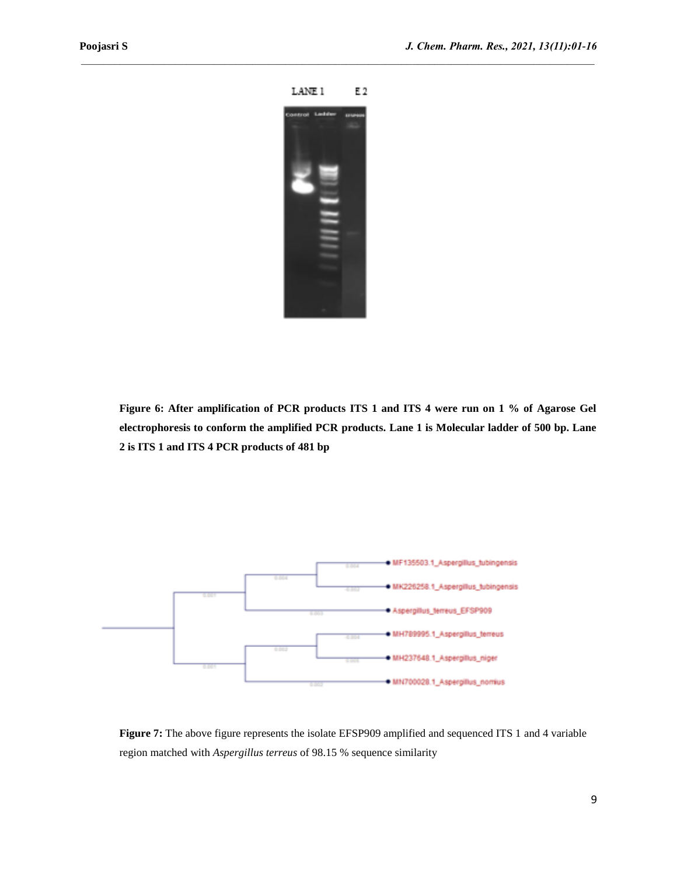

**Figure 6: After amplification of PCR products ITS 1 and ITS 4 were run on 1 % of Agarose Gel electrophoresis to conform the amplified PCR products. Lane 1 is Molecular ladder of 500 bp. Lane 2 is ITS 1 and ITS 4 PCR products of 481 bp**



**Figure 7:** The above figure represents the isolate EFSP909 amplified and sequenced ITS 1 and 4 variable region matched with *Aspergillus terreus* of 98.15 % sequence similarity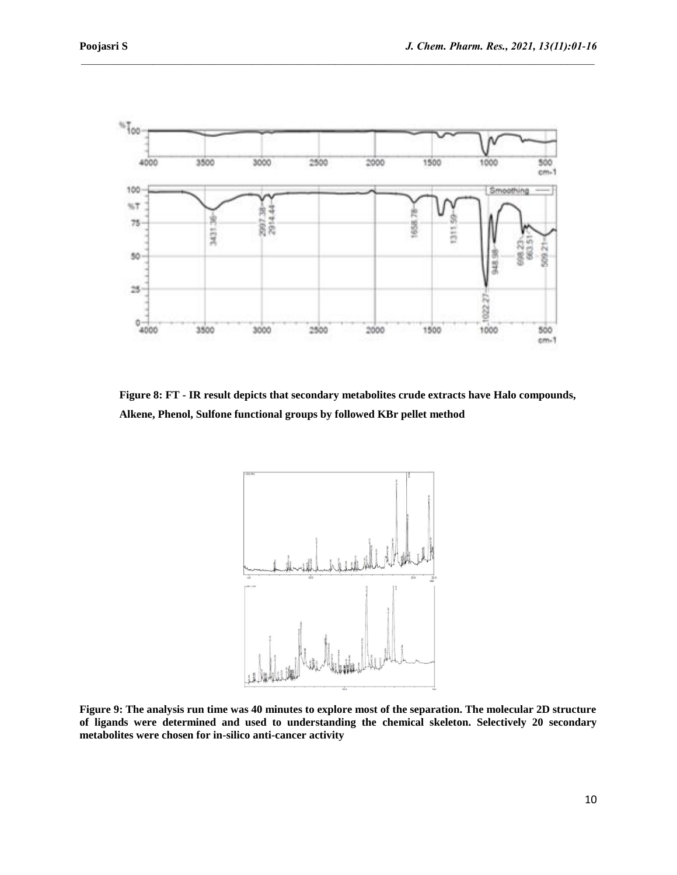

**Figure 8: FT - IR result depicts that secondary metabolites crude extracts have Halo compounds, Alkene, Phenol, Sulfone functional groups by followed KBr pellet method**



**Figure 9: The analysis run time was 40 minutes to explore most of the separation. The molecular 2D structure of ligands were determined and used to understanding the chemical skeleton. Selectively 20 secondary metabolites were chosen for in-silico anti-cancer activity**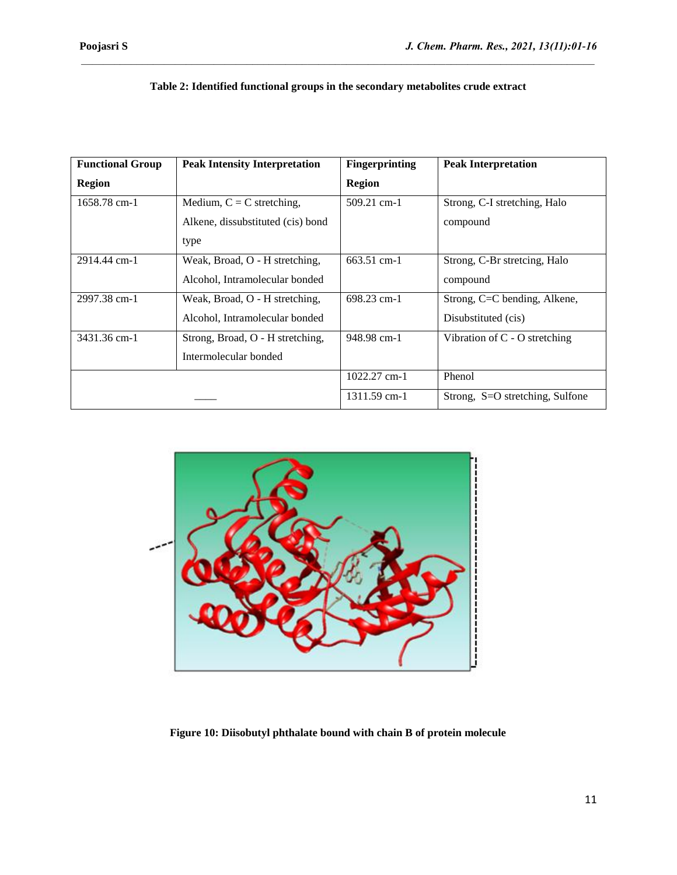| <b>Functional Group</b><br><b>Peak Intensity Interpretation</b> |                                   | <b>Fingerprinting</b> | <b>Peak Interpretation</b>      |
|-----------------------------------------------------------------|-----------------------------------|-----------------------|---------------------------------|
| <b>Region</b>                                                   |                                   | <b>Region</b>         |                                 |
| 1658.78 cm-1                                                    | Medium, $C = C$ stretching,       | $509.21$ cm-1         | Strong, C-I stretching, Halo    |
|                                                                 | Alkene, dissubstituted (cis) bond |                       | compound                        |
|                                                                 | type                              |                       |                                 |
| 2914.44 cm-1                                                    | Weak, Broad, O - H stretching,    | 663.51 cm-1           | Strong, C-Br stretcing, Halo    |
|                                                                 | Alcohol, Intramolecular bonded    |                       | compound                        |
| 2997.38 cm-1                                                    | Weak, Broad, O - H stretching,    | 698.23 cm-1           | Strong, C=C bending, Alkene,    |
|                                                                 | Alcohol, Intramolecular bonded    |                       | Disubstituted (cis)             |
| 3431.36 cm-1                                                    | Strong, Broad, O - H stretching,  | 948.98 cm-1           | Vibration of $C - O$ stretching |
|                                                                 | Intermolecular bonded             |                       |                                 |
|                                                                 |                                   | 1022.27 cm-1          | Phenol                          |
|                                                                 |                                   | 1311.59 cm-1          | Strong, S=O stretching, Sulfone |

# **Table 2: Identified functional groups in the secondary metabolites crude extract**



**Figure 10: Diisobutyl phthalate bound with chain B of protein molecule**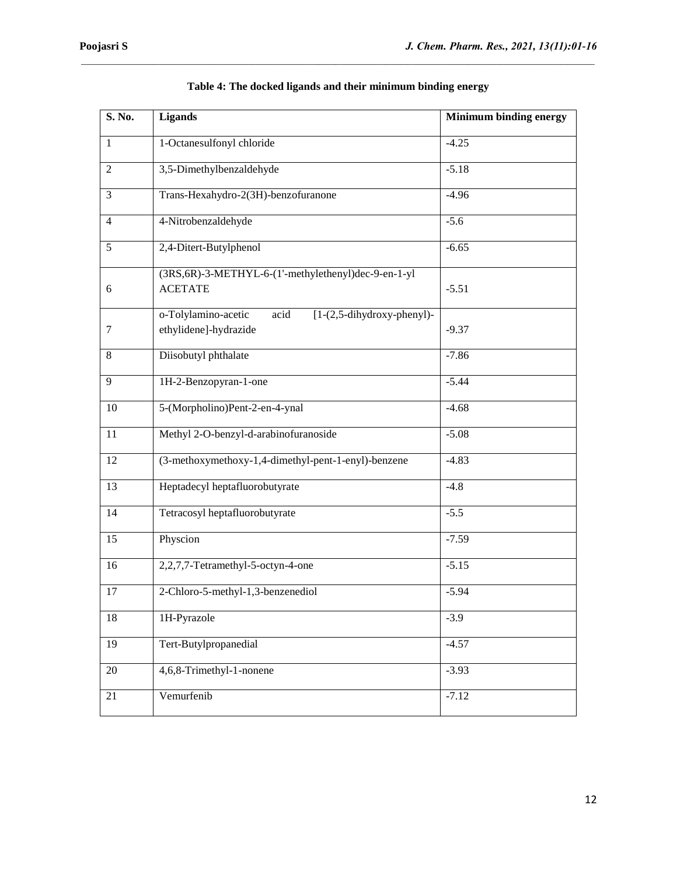| S. No.         | <b>Ligands</b>                                                                       | <b>Minimum binding energy</b> |  |
|----------------|--------------------------------------------------------------------------------------|-------------------------------|--|
| $\mathbf{1}$   | 1-Octanesulfonyl chloride                                                            | $-4.25$                       |  |
| $\overline{2}$ | 3,5-Dimethylbenzaldehyde                                                             | $-5.18$                       |  |
| 3              | Trans-Hexahydro-2(3H)-benzofuranone                                                  | $-4.96$                       |  |
| $\overline{4}$ | 4-Nitrobenzaldehyde                                                                  | $-5.6$                        |  |
| 5              | 2,4-Ditert-Butylphenol                                                               | $-6.65$                       |  |
| 6              | (3RS, 6R)-3-METHYL-6-(1'-methylethenyl)dec-9-en-1-yl<br><b>ACETATE</b>               | $-5.51$                       |  |
| 7              | o-Tolylamino-acetic<br>acid<br>$[1-(2,5-dihydroxy-phenyl)-$<br>ethylidene]-hydrazide | $-9.37$                       |  |
| $\,8\,$        | Diisobutyl phthalate                                                                 | $-7.86$                       |  |
| 9              | 1H-2-Benzopyran-1-one                                                                | $-5.44$                       |  |
| 10             | 5-(Morpholino)Pent-2-en-4-ynal                                                       | $-4.68$                       |  |
| 11             | Methyl 2-O-benzyl-d-arabinofuranoside                                                | $-5.08$                       |  |
| 12             | (3-methoxymethoxy-1,4-dimethyl-pent-1-enyl)-benzene                                  | $-4.83$                       |  |
| 13             | Heptadecyl heptafluorobutyrate                                                       | $-4.8$                        |  |
| 14             | Tetracosyl heptafluorobutyrate                                                       | $-5.5$                        |  |
| 15             | Physcion                                                                             | $-7.59$                       |  |
| 16             | 2,2,7,7-Tetramethyl-5-octyn-4-one                                                    | $-5.15$                       |  |
| 17             | 2-Chloro-5-methyl-1,3-benzenediol                                                    | $-5.94$                       |  |
| 18             | 1H-Pyrazole                                                                          | $-3.9$                        |  |
| 19             | Tert-Butylpropanedial                                                                | $-4.57$                       |  |
| 20             | 4,6,8-Trimethyl-1-nonene                                                             | $-3.93$                       |  |
| 21             | Vemurfenib                                                                           | $-7.12$                       |  |

| Table 4: The docked ligands and their minimum binding energy |  |  |  |
|--------------------------------------------------------------|--|--|--|
|--------------------------------------------------------------|--|--|--|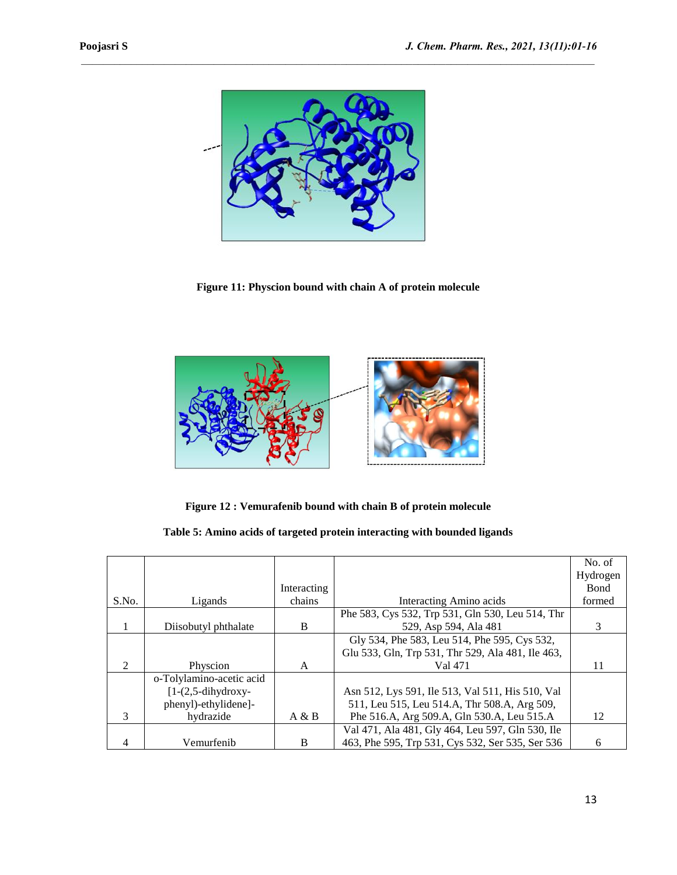

**Figure 11: Physcion bound with chain A of protein molecule**



**Figure 12 : Vemurafenib bound with chain B of protein molecule**

| Table 5: Amino acids of targeted protein interacting with bounded ligands |  |  |  |
|---------------------------------------------------------------------------|--|--|--|
|---------------------------------------------------------------------------|--|--|--|

|                |                          |             |                                                   | No. of       |
|----------------|--------------------------|-------------|---------------------------------------------------|--------------|
|                |                          |             |                                                   | Hydrogen     |
|                |                          | Interacting |                                                   | <b>B</b> ond |
| S.No.          | Ligands                  | chains      | Interacting Amino acids                           | formed       |
|                |                          |             | Phe 583, Cys 532, Trp 531, Gln 530, Leu 514, Thr  |              |
|                | Diisobutyl phthalate     | B           | 529, Asp 594, Ala 481                             | 3            |
|                |                          |             | Gly 534, Phe 583, Leu 514, Phe 595, Cys 532,      |              |
|                |                          |             | Glu 533, Gln, Trp 531, Thr 529, Ala 481, Ile 463, |              |
| $\mathfrak{D}$ | Physcion                 | A           | Val 471                                           | 11           |
|                | o-Tolylamino-acetic acid |             |                                                   |              |
|                | $[1-(2,5-dihydroxy-$     |             | Asn 512, Lys 591, Ile 513, Val 511, His 510, Val  |              |
|                | phenyl)-ethylidene]-     |             | 511, Leu 515, Leu 514.A, Thr 508.A, Arg 509,      |              |
| $\mathbf{3}$   | hydrazide                | A & B       | Phe 516.A, Arg 509.A, Gln 530.A, Leu 515.A        | 12           |
|                |                          |             | Val 471, Ala 481, Gly 464, Leu 597, Gln 530, Ile  |              |
| 4              | Vemurfenib               | B           | 463, Phe 595, Trp 531, Cys 532, Ser 535, Ser 536  | 6            |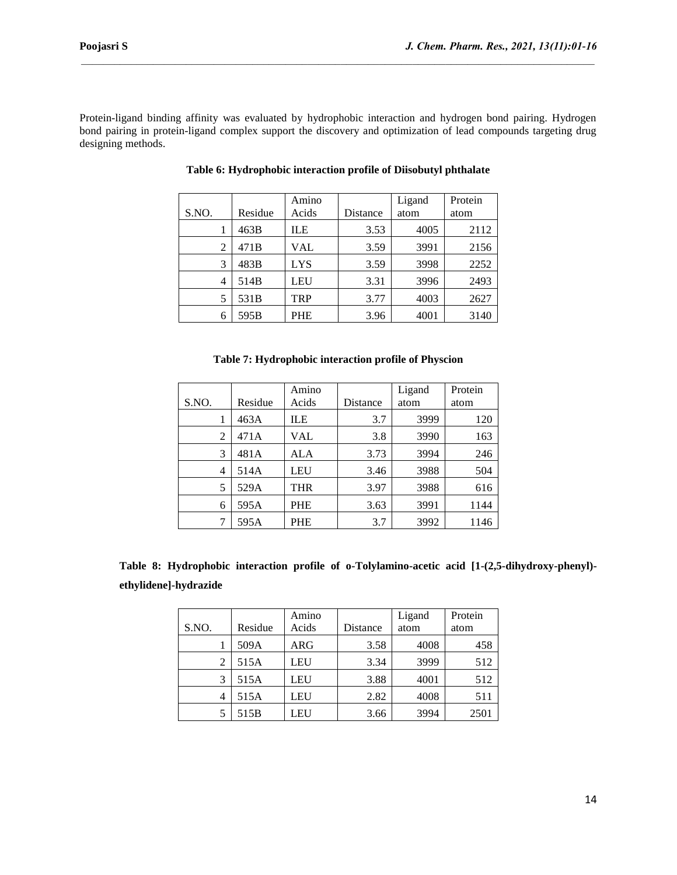Protein-ligand binding affinity was evaluated by hydrophobic interaction and hydrogen bond pairing. Hydrogen bond pairing in protein-ligand complex support the discovery and optimization of lead compounds targeting drug designing methods.

 $\mathcal{L}_\mathcal{L} = \mathcal{L}_\mathcal{L}$ 

|       |         | Amino      |          | Ligand | Protein |
|-------|---------|------------|----------|--------|---------|
| S.NO. | Residue | Acids      | Distance | atom   | atom    |
|       | 463B    | <b>ILE</b> | 3.53     | 4005   | 2112    |
| 2     | 471B    | VAL        | 3.59     | 3991   | 2156    |
| 3     | 483B    | <b>LYS</b> | 3.59     | 3998   | 2252    |
| 4     | 514B    | <b>LEU</b> | 3.31     | 3996   | 2493    |
| 5     | 531B    | <b>TRP</b> | 3.77     | 4003   | 2627    |
| 6     | 595B    | <b>PHE</b> | 3.96     | 4001   | 3140    |

# **Table 6: Hydrophobic interaction profile of Diisobutyl phthalate**

| S.NO.          | Residue | Amino<br>Acids | Distance | Ligand<br>atom | Protein<br>atom |
|----------------|---------|----------------|----------|----------------|-----------------|
| 1              | 463A    | ILE            | 3.7      | 3999           | 120             |
| $\overline{2}$ | 471A    | VAL            | 3.8      | 3990           | 163             |
| 3              | 481A    | ALA            | 3.73     | 3994           | 246             |
| 4              | 514A    | LEU            | 3.46     | 3988           | 504             |
| 5              | 529A    | THR            | 3.97     | 3988           | 616             |
| 6              | 595A    | <b>PHE</b>     | 3.63     | 3991           | 1144            |
| 7              | 595A    | <b>PHE</b>     | 3.7      | 3992           | 1146            |

**Table 8: Hydrophobic interaction profile of o-Tolylamino-acetic acid [1-(2,5-dihydroxy-phenyl) ethylidene]-hydrazide**

|       |         | Amino |          | Ligand | Protein |
|-------|---------|-------|----------|--------|---------|
| S.NO. | Residue | Acids | Distance | atom   | atom    |
|       | 509A    | ARG   | 3.58     | 4008   | 458     |
| 2     | 515A    | LEU   | 3.34     | 3999   | 512     |
| 3     | 515A    | LEU   | 3.88     | 4001   | 512     |
| 4     | 515A    | LEU   | 2.82     | 4008   | 511     |
|       | 515B    | LEU   | 3.66     | 3994   | 2501    |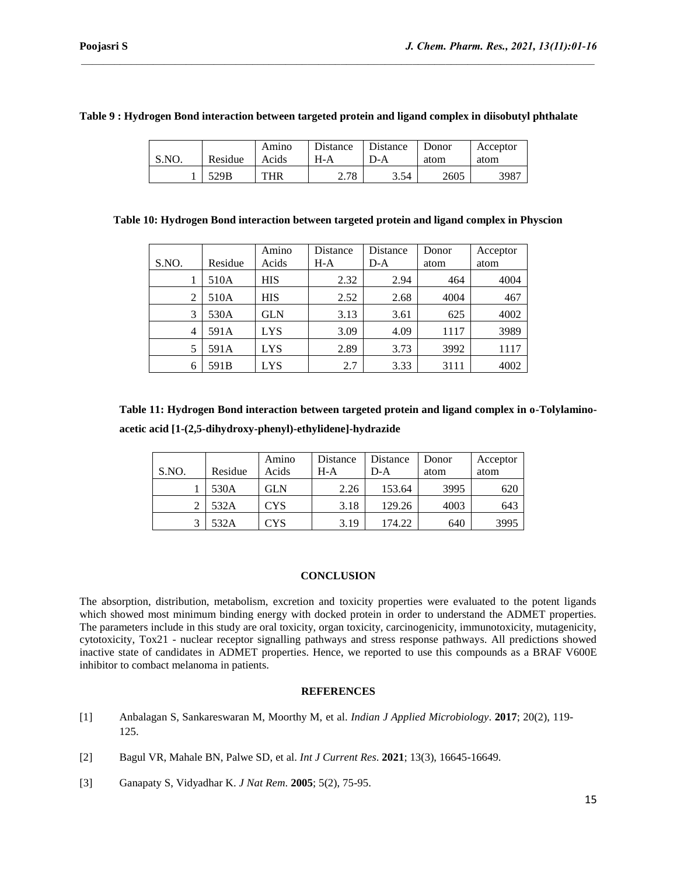|  | Table 9: Hydrogen Bond interaction between targeted protein and ligand complex in diisobutyl phthalate |  |  |  |
|--|--------------------------------------------------------------------------------------------------------|--|--|--|
|--|--------------------------------------------------------------------------------------------------------|--|--|--|

| S.NO | Residue | Amino<br>Acids | Distance<br>H-A | Distance<br>D-A | Donor<br>atom | Acceptor<br>atom |
|------|---------|----------------|-----------------|-----------------|---------------|------------------|
|      | 529B    | THR            | 2.78            | 3.54            | 2605          | 3987             |

# **Table 10: Hydrogen Bond interaction between targeted protein and ligand complex in Physcion**

| S.NO. | Residue | Amino<br>Acids | Distance<br>$H-A$ | Distance<br>$D-A$ | Donor<br>atom | Acceptor<br>atom |
|-------|---------|----------------|-------------------|-------------------|---------------|------------------|
|       | 510A    | <b>HIS</b>     | 2.32              | 2.94              | 464           | 4004             |
| 2     | 510A    | <b>HIS</b>     | 2.52              | 2.68              | 4004          | 467              |
| 3     | 530A    | GLN            | 3.13              | 3.61              | 625           | 4002             |
| 4     | 591A    | <b>LYS</b>     | 3.09              | 4.09              | 1117          | 3989             |
| 5     | 591A    | <b>LYS</b>     | 2.89              | 3.73              | 3992          | 1117             |
|       | 591B    | <b>LYS</b>     | 2.7               | 3.33              | 3111          | 4002             |

**Table 11: Hydrogen Bond interaction between targeted protein and ligand complex in o-Tolylaminoacetic acid [1-(2,5-dihydroxy-phenyl)-ethylidene]-hydrazide**

| S.NO. | Residue | Amino<br>Acids | Distance<br>H-A | Distance<br>$D-A$ | Donor<br>atom | Acceptor<br>atom |
|-------|---------|----------------|-----------------|-------------------|---------------|------------------|
|       | 530A    | GLN            | 2.26            | 153.64            | 3995          | 620              |
|       | 532A    | <b>CYS</b>     | 3.18            | 129.26            | 4003          | 643              |
|       | 532A    | <b>CYS</b>     | 3.19            | 174.22            | 640           | 3995             |

#### **CONCLUSION**

The absorption, distribution, metabolism, excretion and toxicity properties were evaluated to the potent ligands which showed most minimum binding energy with docked protein in order to understand the ADMET properties. The parameters include in this study are oral toxicity, organ toxicity, carcinogenicity, immunotoxicity, mutagenicity, cytotoxicity, Tox21 - nuclear receptor signalling pathways and stress response pathways. All predictions showed inactive state of candidates in ADMET properties. Hence, we reported to use this compounds as a BRAF V600E inhibitor to combact melanoma in patients.

# **REFERENCES**

[1] [Anbalagan S, Sankareswaran M, Moorthy M, et al.](http://www.ijamicro.com/20-2-2017/12.pdf) *Indian J Applied Microbiology*. **2017**; 20(2), 119- [125.](http://www.ijamicro.com/20-2-2017/12.pdf)

[3] [Ganapaty S, Vidyadhar K.](https://doi.org/10.5958/0974-360X.2020.00966.X) *J Nat Rem*. **2005**; 5(2), 75-95.

<sup>[2]</sup> [Bagul VR, Mahale BN, Palwe SD, et al.](https://doi.org/10.24941/ijcr.41029.03.2021) *Int J Current Res*. **2021**; 13(3), 16645-16649.